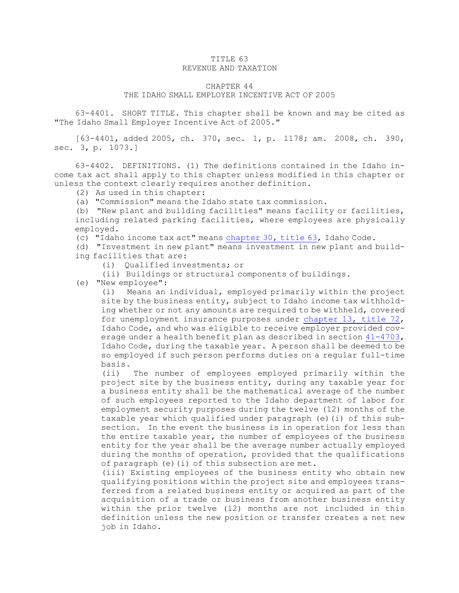## TITLE 63 REVENUE AND TAXATION

## CHAPTER 44

## THE IDAHO SMALL EMPLOYER INCENTIVE ACT OF 2005

63-4401. SHORT TITLE. This chapter shall be known and may be cited as "The Idaho Small Employer Incentive Act of 2005."

[63-4401, added 2005, ch. 370, sec. 1, p. 1178; am. 2008, ch. 390, sec. 3, p. 1073.]

63-4402. DEFINITIONS. (1) The definitions contained in the Idaho income tax act shall apply to this chapter unless modified in this chapter or unless the context clearly requires another definition.

(2) As used in this chapter:

(a) "Commission" means the Idaho state tax commission.

(b) "New plant and building facilities" means facility or facilities, including related parking facilities, where employees are physically employed.

(c) "Idaho income tax act" means [chapter](https://legislature.idaho.gov/statutesrules/idstat/Title63/T63CH30) 30, title 63, Idaho Code.

(d) "Investment in new plant" means investment in new plant and building facilities that are:

(i) Qualified investments; or

(ii) Buildings or structural components of buildings.

(e) "New employee":

(i) Means an individual, employed primarily within the project site by the business entity, subject to Idaho income tax withholding whether or not any amounts are required to be withheld, covered for unemployment insurance purposes under [chapter](https://legislature.idaho.gov/statutesrules/idstat/Title72/T72CH13) 13, title 72, Idaho Code, and who was eligible to receive employer provided coverage under <sup>a</sup> health benefit plan as described in section [41-4703](https://legislature.idaho.gov/statutesrules/idstat/Title41/T41CH47/SECT41-4703), Idaho Code, during the taxable year. <sup>A</sup> person shall be deemed to be so employed if such person performs duties on <sup>a</sup> regular full-time basis.

(ii) The number of employees employed primarily within the project site by the business entity, during any taxable year for <sup>a</sup> business entity shall be the mathematical average of the number of such employees reported to the Idaho department of labor for employment security purposes during the twelve (12) months of the taxable year which qualified under paragraph (e)(i) of this subsection. In the event the business is in operation for less than the entire taxable year, the number of employees of the business entity for the year shall be the average number actually employed during the months of operation, provided that the qualifications of paragraph (e)(i) of this subsection are met.

(iii) Existing employees of the business entity who obtain new qualifying positions within the project site and employees transferred from <sup>a</sup> related business entity or acquired as part of the acquisition of <sup>a</sup> trade or business from another business entity within the prior twelve (12) months are not included in this definition unless the new position or transfer creates <sup>a</sup> net new job in Idaho.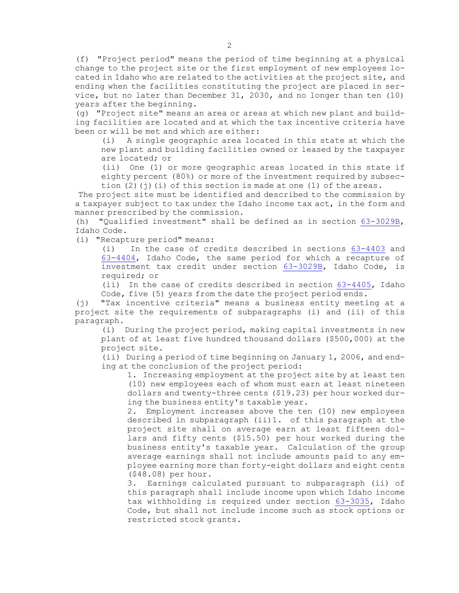(f) "Project period" means the period of time beginning at <sup>a</sup> physical change to the project site or the first employment of new employees located in Idaho who are related to the activities at the project site, and ending when the facilities constituting the project are placed in service, but no later than December 31, 2030, and no longer than ten (10) years after the beginning.

(g) "Project site" means an area or areas at which new plant and building facilities are located and at which the tax incentive criteria have been or will be met and which are either:

(i) <sup>A</sup> single geographic area located in this state at which the new plant and building facilities owned or leased by the taxpayer are located; or

(ii) One (1) or more geographic areas located in this state if eighty percent (80%) or more of the investment required by subsection  $(2)(j)(i)$  of this section is made at one  $(1)$  of the areas.

The project site must be identified and described to the commission by <sup>a</sup> taxpayer subject to tax under the Idaho income tax act, in the form and manner prescribed by the commission.

(h) "Qualified investment" shall be defined as in section [63-3029B](https://legislature.idaho.gov/statutesrules/idstat/Title63/T63CH30/SECT63-3029B), Idaho Code.

(i) "Recapture period" means:

(i) In the case of credits described in sections [63-4403](https://legislature.idaho.gov/statutesrules/idstat/Title63/T63CH44/SECT63-4403) and [63-4404](https://legislature.idaho.gov/statutesrules/idstat/Title63/T63CH44/SECT63-4404), Idaho Code, the same period for which <sup>a</sup> recapture of investment tax credit under section [63-3029B](https://legislature.idaho.gov/statutesrules/idstat/Title63/T63CH30/SECT63-3029B), Idaho Code, is required; or

(ii) In the case of credits described in section [63-4405](https://legislature.idaho.gov/statutesrules/idstat/Title63/T63CH44/SECT63-4405), Idaho Code, five (5) years from the date the project period ends.

(j) "Tax incentive criteria" means <sup>a</sup> business entity meeting at <sup>a</sup> project site the requirements of subparagraphs (i) and (ii) of this paragraph.

(i) During the project period, making capital investments in new plant of at least five hundred thousand dollars (\$500,000) at the project site.

(ii) During <sup>a</sup> period of time beginning on January 1, 2006, and ending at the conclusion of the project period:

1. Increasing employment at the project site by at least ten (10) new employees each of whom must earn at least nineteen dollars and twenty-three cents (\$19.23) per hour worked during the business entity's taxable year.

2. Employment increases above the ten (10) new employees described in subparagraph (ii)1. of this paragraph at the project site shall on average earn at least fifteen dollars and fifty cents (\$15.50) per hour worked during the business entity's taxable year. Calculation of the group average earnings shall not include amounts paid to any employee earning more than forty-eight dollars and eight cents (\$48.08) per hour.

3. Earnings calculated pursuant to subparagraph (ii) of this paragraph shall include income upon which Idaho income tax withholding is required under section [63-3035](https://legislature.idaho.gov/statutesrules/idstat/Title63/T63CH30/SECT63-3035), Idaho Code, but shall not include income such as stock options or restricted stock grants.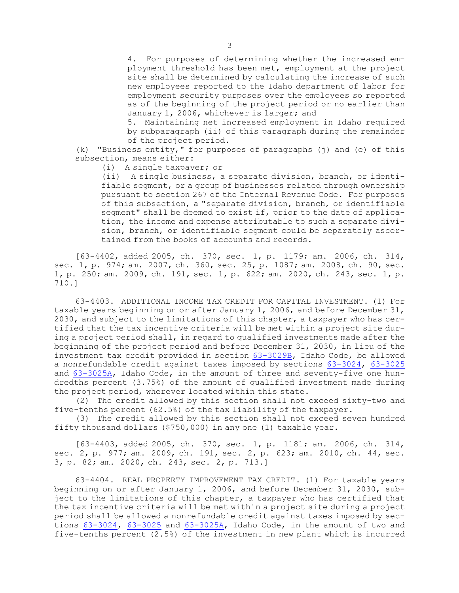4. For purposes of determining whether the increased employment threshold has been met, employment at the project site shall be determined by calculating the increase of such new employees reported to the Idaho department of labor for employment security purposes over the employees so reported as of the beginning of the project period or no earlier than January 1, 2006, whichever is larger; and

5. Maintaining net increased employment in Idaho required by subparagraph (ii) of this paragraph during the remainder of the project period.

(k) "Business entity," for purposes of paragraphs (j) and (e) of this subsection, means either:

(i) <sup>A</sup> single taxpayer; or

(ii) <sup>A</sup> single business, <sup>a</sup> separate division, branch, or identifiable segment, or <sup>a</sup> group of businesses related through ownership pursuant to section 267 of the Internal Revenue Code. For purposes of this subsection, <sup>a</sup> "separate division, branch, or identifiable segment" shall be deemed to exist if, prior to the date of application, the income and expense attributable to such <sup>a</sup> separate division, branch, or identifiable segment could be separately ascertained from the books of accounts and records.

[63-4402, added 2005, ch. 370, sec. 1, p. 1179; am. 2006, ch. 314, sec. 1, p. 974; am. 2007, ch. 360, sec. 25, p. 1087; am. 2008, ch. 90, sec. 1, p. 250; am. 2009, ch. 191, sec. 1, p. 622; am. 2020, ch. 243, sec. 1, p. 710.]

63-4403. ADDITIONAL INCOME TAX CREDIT FOR CAPITAL INVESTMENT. (1) For taxable years beginning on or after January 1, 2006, and before December 31, 2030, and subject to the limitations of this chapter, <sup>a</sup> taxpayer who has certified that the tax incentive criteria will be met within <sup>a</sup> project site during <sup>a</sup> project period shall, in regard to qualified investments made after the beginning of the project period and before December 31, 2030, in lieu of the investment tax credit provided in section [63-3029B](https://legislature.idaho.gov/statutesrules/idstat/Title63/T63CH30/SECT63-3029B), Idaho Code, be allowed <sup>a</sup> nonrefundable credit against taxes imposed by sections [63-3024](https://legislature.idaho.gov/statutesrules/idstat/Title63/T63CH30/SECT63-3024), [63-3025](https://legislature.idaho.gov/statutesrules/idstat/Title63/T63CH30/SECT63-3025) and [63-3025A](https://legislature.idaho.gov/statutesrules/idstat/Title63/T63CH30/SECT63-3025A), Idaho Code, in the amount of three and seventy-five one hundredths percent (3.75%) of the amount of qualified investment made during the project period, wherever located within this state.

(2) The credit allowed by this section shall not exceed sixty-two and five-tenths percent (62.5%) of the tax liability of the taxpayer.

(3) The credit allowed by this section shall not exceed seven hundred fifty thousand dollars (\$750,000) in any one (1) taxable year.

[63-4403, added 2005, ch. 370, sec. 1, p. 1181; am. 2006, ch. 314, sec. 2, p. 977; am. 2009, ch. 191, sec. 2, p. 623; am. 2010, ch. 44, sec. 3, p. 82; am. 2020, ch. 243, sec. 2, p. 713.]

63-4404. REAL PROPERTY IMPROVEMENT TAX CREDIT. (1) For taxable years beginning on or after January 1, 2006, and before December 31, 2030, subject to the limitations of this chapter, <sup>a</sup> taxpayer who has certified that the tax incentive criteria will be met within <sup>a</sup> project site during <sup>a</sup> project period shall be allowed <sup>a</sup> nonrefundable credit against taxes imposed by sections [63-3024](https://legislature.idaho.gov/statutesrules/idstat/Title63/T63CH30/SECT63-3024), [63-3025](https://legislature.idaho.gov/statutesrules/idstat/Title63/T63CH30/SECT63-3025) and [63-3025A](https://legislature.idaho.gov/statutesrules/idstat/Title63/T63CH30/SECT63-3025A), Idaho Code, in the amount of two and five-tenths percent (2.5%) of the investment in new plant which is incurred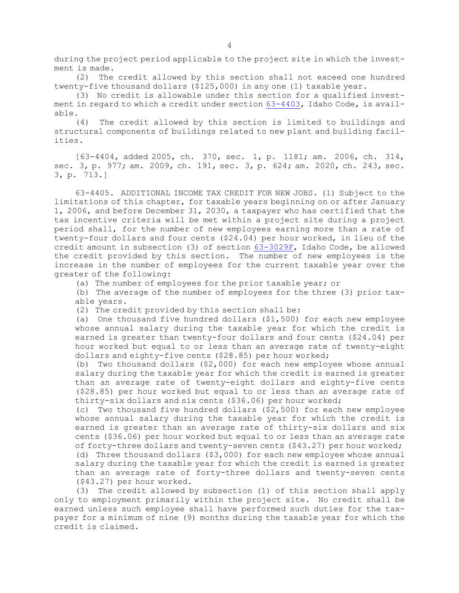during the project period applicable to the project site in which the investment is made.

(2) The credit allowed by this section shall not exceed one hundred twenty-five thousand dollars (\$125,000) in any one (1) taxable year.

(3) No credit is allowable under this section for <sup>a</sup> qualified investment in regard to which <sup>a</sup> credit under section [63-4403](https://legislature.idaho.gov/statutesrules/idstat/Title63/T63CH44/SECT63-4403), Idaho Code, is available.

(4) The credit allowed by this section is limited to buildings and structural components of buildings related to new plant and building facilities.

[63-4404, added 2005, ch. 370, sec. 1, p. 1181; am. 2006, ch. 314, sec. 3, p. 977; am. 2009, ch. 191, sec. 3, p. 624; am. 2020, ch. 243, sec. 3, p. 713.]

63-4405. ADDITIONAL INCOME TAX CREDIT FOR NEW JOBS. (1) Subject to the limitations of this chapter, for taxable years beginning on or after January 1, 2006, and before December 31, 2030, <sup>a</sup> taxpayer who has certified that the tax incentive criteria will be met within <sup>a</sup> project site during <sup>a</sup> project period shall, for the number of new employees earning more than <sup>a</sup> rate of twenty-four dollars and four cents (\$24.04) per hour worked, in lieu of the credit amount in subsection (3) of section [63-3029F](https://legislature.idaho.gov/statutesrules/idstat/Title63/T63CH30/SECT63-3029F), Idaho Code, be allowed the credit provided by this section. The number of new employees is the increase in the number of employees for the current taxable year over the greater of the following:

(a) The number of employees for the prior taxable year; or

(b) The average of the number of employees for the three (3) prior taxable years.

(2) The credit provided by this section shall be:

(a) One thousand five hundred dollars (\$1,500) for each new employee whose annual salary during the taxable year for which the credit is earned is greater than twenty-four dollars and four cents (\$24.04) per hour worked but equal to or less than an average rate of twenty-eight dollars and eighty-five cents (\$28.85) per hour worked;

(b) Two thousand dollars (\$2,000) for each new employee whose annual salary during the taxable year for which the credit is earned is greater than an average rate of twenty-eight dollars and eighty-five cents (\$28.85) per hour worked but equal to or less than an average rate of thirty-six dollars and six cents (\$36.06) per hour worked;

(c) Two thousand five hundred dollars (\$2,500) for each new employee whose annual salary during the taxable year for which the credit is earned is greater than an average rate of thirty-six dollars and six cents (\$36.06) per hour worked but equal to or less than an average rate of forty-three dollars and twenty-seven cents (\$43.27) per hour worked; (d) Three thousand dollars (\$3,000) for each new employee whose annual

salary during the taxable year for which the credit is earned is greater than an average rate of forty-three dollars and twenty-seven cents (\$43.27) per hour worked.

(3) The credit allowed by subsection (1) of this section shall apply only to employment primarily within the project site. No credit shall be earned unless such employee shall have performed such duties for the taxpayer for <sup>a</sup> minimum of nine (9) months during the taxable year for which the credit is claimed.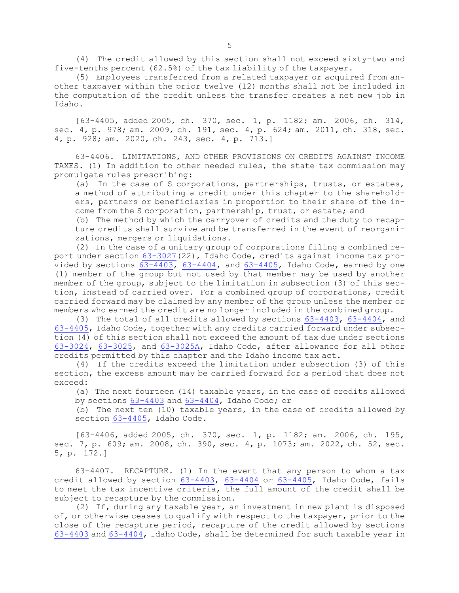(4) The credit allowed by this section shall not exceed sixty-two and five-tenths percent (62.5%) of the tax liability of the taxpayer.

(5) Employees transferred from <sup>a</sup> related taxpayer or acquired from another taxpayer within the prior twelve (12) months shall not be included in the computation of the credit unless the transfer creates <sup>a</sup> net new job in Idaho.

[63-4405, added 2005, ch. 370, sec. 1, p. 1182; am. 2006, ch. 314, sec. 4, p. 978; am. 2009, ch. 191, sec. 4, p. 624; am. 2011, ch. 318, sec. 4, p. 928; am. 2020, ch. 243, sec. 4, p. 713.]

63-4406. LIMITATIONS, AND OTHER PROVISIONS ON CREDITS AGAINST INCOME TAXES. (1) In addition to other needed rules, the state tax commission may promulgate rules prescribing:

(a) In the case of S corporations, partnerships, trusts, or estates, <sup>a</sup> method of attributing <sup>a</sup> credit under this chapter to the shareholders, partners or beneficiaries in proportion to their share of the income from the S corporation, partnership, trust, or estate; and

(b) The method by which the carryover of credits and the duty to recapture credits shall survive and be transferred in the event of reorganizations, mergers or liquidations.

(2) In the case of <sup>a</sup> unitary group of corporations filing <sup>a</sup> combined report under section [63-3027](https://legislature.idaho.gov/statutesrules/idstat/Title63/T63CH30/SECT63-3027)(22), Idaho Code, credits against income tax provided by sections  $63-4403$ ,  $63-4404$ , and  $63-4405$ , Idaho Code, earned by one (1) member of the group but not used by that member may be used by another member of the group, subject to the limitation in subsection (3) of this section, instead of carried over. For <sup>a</sup> combined group of corporations, credit carried forward may be claimed by any member of the group unless the member or members who earned the credit are no longer included in the combined group.

(3) The total of all credits allowed by sections [63-4403](https://legislature.idaho.gov/statutesrules/idstat/Title63/T63CH44/SECT63-4403), [63-4404](https://legislature.idaho.gov/statutesrules/idstat/Title63/T63CH44/SECT63-4404), and [63-4405](https://legislature.idaho.gov/statutesrules/idstat/Title63/T63CH44/SECT63-4405), Idaho Code, together with any credits carried forward under subsection (4) of this section shall not exceed the amount of tax due under sections [63-3024](https://legislature.idaho.gov/statutesrules/idstat/Title63/T63CH30/SECT63-3024), [63-3025](https://legislature.idaho.gov/statutesrules/idstat/Title63/T63CH30/SECT63-3025), and [63-3025A](https://legislature.idaho.gov/statutesrules/idstat/Title63/T63CH30/SECT63-3025A), Idaho Code, after allowance for all other credits permitted by this chapter and the Idaho income tax act.

(4) If the credits exceed the limitation under subsection (3) of this section, the excess amount may be carried forward for <sup>a</sup> period that does not exceed:

(a) The next fourteen (14) taxable years, in the case of credits allowed by sections [63-4403](https://legislature.idaho.gov/statutesrules/idstat/Title63/T63CH44/SECT63-4403) and [63-4404](https://legislature.idaho.gov/statutesrules/idstat/Title63/T63CH44/SECT63-4404), Idaho Code; or

(b) The next ten (10) taxable years, in the case of credits allowed by section [63-4405](https://legislature.idaho.gov/statutesrules/idstat/Title63/T63CH44/SECT63-4405), Idaho Code.

[63-4406, added 2005, ch. 370, sec. 1, p. 1182; am. 2006, ch. 195, sec. 7, p. 609; am. 2008, ch. 390, sec. 4, p. 1073; am. 2022, ch. 52, sec. 5, p. 172.]

63-4407. RECAPTURE. (1) In the event that any person to whom <sup>a</sup> tax credit allowed by section [63-4403](https://legislature.idaho.gov/statutesrules/idstat/Title63/T63CH44/SECT63-4403), [63-4404](https://legislature.idaho.gov/statutesrules/idstat/Title63/T63CH44/SECT63-4404) or [63-4405](https://legislature.idaho.gov/statutesrules/idstat/Title63/T63CH44/SECT63-4405), Idaho Code, fails to meet the tax incentive criteria, the full amount of the credit shall be subject to recapture by the commission.

(2) If, during any taxable year, an investment in new plant is disposed of, or otherwise ceases to qualify with respect to the taxpayer, prior to the close of the recapture period, recapture of the credit allowed by sections [63-4403](https://legislature.idaho.gov/statutesrules/idstat/Title63/T63CH44/SECT63-4403) and [63-4404](https://legislature.idaho.gov/statutesrules/idstat/Title63/T63CH44/SECT63-4404), Idaho Code, shall be determined for such taxable year in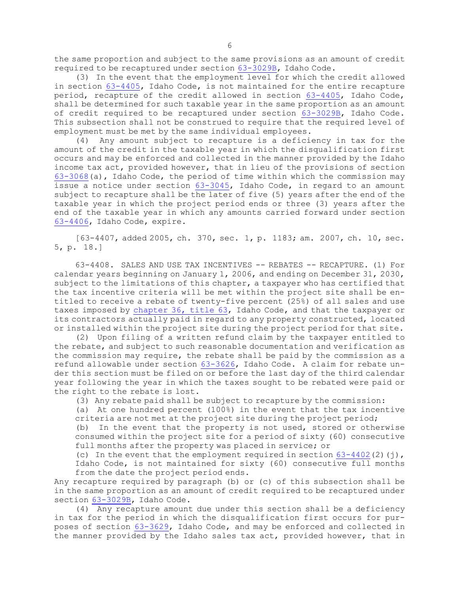the same proportion and subject to the same provisions as an amount of credit required to be recaptured under section [63-3029B](https://legislature.idaho.gov/statutesrules/idstat/Title63/T63CH30/SECT63-3029B), Idaho Code.

(3) In the event that the employment level for which the credit allowed in section [63-4405](https://legislature.idaho.gov/statutesrules/idstat/Title63/T63CH44/SECT63-4405), Idaho Code, is not maintained for the entire recapture period, recapture of the credit allowed in section [63-4405](https://legislature.idaho.gov/statutesrules/idstat/Title63/T63CH44/SECT63-4405), Idaho Code, shall be determined for such taxable year in the same proportion as an amount of credit required to be recaptured under section [63-3029B](https://legislature.idaho.gov/statutesrules/idstat/Title63/T63CH30/SECT63-3029B), Idaho Code. This subsection shall not be construed to require that the required level of employment must be met by the same individual employees.

(4) Any amount subject to recapture is <sup>a</sup> deficiency in tax for the amount of the credit in the taxable year in which the disqualification first occurs and may be enforced and collected in the manner provided by the Idaho income tax act, provided however, that in lieu of the provisions of section [63-3068](https://legislature.idaho.gov/statutesrules/idstat/Title63/T63CH30/SECT63-3068)(a), Idaho Code, the period of time within which the commission may issue <sup>a</sup> notice under section [63-3045](https://legislature.idaho.gov/statutesrules/idstat/Title63/T63CH30/SECT63-3045), Idaho Code, in regard to an amount subject to recapture shall be the later of five (5) years after the end of the taxable year in which the project period ends or three (3) years after the end of the taxable year in which any amounts carried forward under section [63-4406](https://legislature.idaho.gov/statutesrules/idstat/Title63/T63CH44/SECT63-4406), Idaho Code, expire.

[63-4407, added 2005, ch. 370, sec. 1, p. 1183; am. 2007, ch. 10, sec. 5, p. 18.]

63-4408. SALES AND USE TAX INCENTIVES -- REBATES -- RECAPTURE. (1) For calendar years beginning on January 1, 2006, and ending on December 31, 2030, subject to the limitations of this chapter, <sup>a</sup> taxpayer who has certified that the tax incentive criteria will be met within the project site shall be entitled to receive <sup>a</sup> rebate of twenty-five percent (25%) of all sales and use taxes imposed by [chapter](https://legislature.idaho.gov/statutesrules/idstat/Title63/T63CH36) 36, title 63, Idaho Code, and that the taxpayer or its contractors actually paid in regard to any property constructed, located or installed within the project site during the project period for that site.

(2) Upon filing of <sup>a</sup> written refund claim by the taxpayer entitled to the rebate, and subject to such reasonable documentation and verification as the commission may require, the rebate shall be paid by the commission as <sup>a</sup> refund allowable under section [63-3626](https://legislature.idaho.gov/statutesrules/idstat/Title63/T63CH36/SECT63-3626), Idaho Code. A claim for rebate under this section must be filed on or before the last day of the third calendar year following the year in which the taxes sought to be rebated were paid or the right to the rebate is lost.

(3) Any rebate paid shall be subject to recapture by the commission:

(a) At one hundred percent (100%) in the event that the tax incentive criteria are not met at the project site during the project period;

(b) In the event that the property is not used, stored or otherwise consumed within the project site for <sup>a</sup> period of sixty (60) consecutive full months after the property was placed in service; or

(c) In the event that the employment required in section  $63-4402(2)$  $63-4402(2)$  (j), Idaho Code, is not maintained for sixty (60) consecutive full months from the date the project period ends.

Any recapture required by paragraph (b) or (c) of this subsection shall be in the same proportion as an amount of credit required to be recaptured under section [63-3029B](https://legislature.idaho.gov/statutesrules/idstat/Title63/T63CH30/SECT63-3029B), Idaho Code.

(4) Any recapture amount due under this section shall be <sup>a</sup> deficiency in tax for the period in which the disqualification first occurs for purposes of section [63-3629](https://legislature.idaho.gov/statutesrules/idstat/Title63/T63CH36/SECT63-3629), Idaho Code, and may be enforced and collected in the manner provided by the Idaho sales tax act, provided however, that in